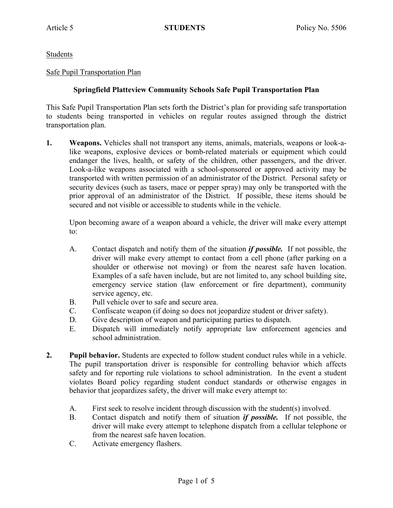Students

## Safe Pupil Transportation Plan

## **Springfield Platteview Community Schools Safe Pupil Transportation Plan**

This Safe Pupil Transportation Plan sets forth the District's plan for providing safe transportation to students being transported in vehicles on regular routes assigned through the district transportation plan.

**1. Weapons.** Vehicles shall not transport any items, animals, materials, weapons or look-alike weapons, explosive devices or bomb-related materials or equipment which could endanger the lives, health, or safety of the children, other passengers, and the driver. Look-a-like weapons associated with a school-sponsored or approved activity may be transported with written permission of an administrator of the District. Personal safety or security devices (such as tasers, mace or pepper spray) may only be transported with the prior approval of an administrator of the District. If possible, these items should be secured and not visible or accessible to students while in the vehicle.

Upon becoming aware of a weapon aboard a vehicle, the driver will make every attempt to:

- A. Contact dispatch and notify them of the situation *if possible.* If not possible, the driver will make every attempt to contact from a cell phone (after parking on a shoulder or otherwise not moving) or from the nearest safe haven location. Examples of a safe haven include, but are not limited to, any school building site, emergency service station (law enforcement or fire department), community service agency, etc.
- B. Pull vehicle over to safe and secure area.
- C. Confiscate weapon (if doing so does not jeopardize student or driver safety).
- D. Give description of weapon and participating parties to dispatch.
- E. Dispatch will immediately notify appropriate law enforcement agencies and school administration.
- **2. Pupil behavior.** Students are expected to follow student conduct rules while in a vehicle. The pupil transportation driver is responsible for controlling behavior which affects safety and for reporting rule violations to school administration. In the event a student violates Board policy regarding student conduct standards or otherwise engages in behavior that jeopardizes safety, the driver will make every attempt to:
	- A. First seek to resolve incident through discussion with the student(s) involved.
	- B. Contact dispatch and notify them of situation *if possible.* If not possible, the driver will make every attempt to telephone dispatch from a cellular telephone or from the nearest safe haven location.
	- C. Activate emergency flashers.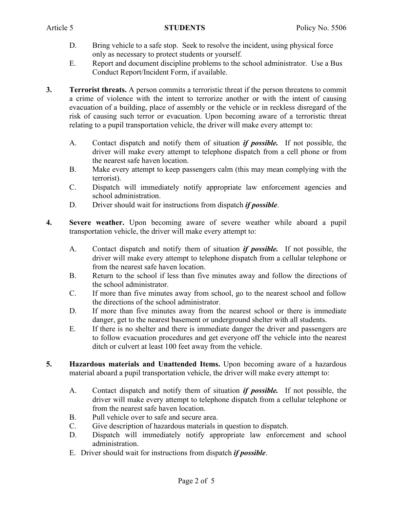- D. Bring vehicle to a safe stop. Seek to resolve the incident, using physical force only as necessary to protect students or yourself.
- E. Report and document discipline problems to the school administrator. Use a Bus Conduct Report/Incident Form, if available.
- **3. Terrorist threats.** A person commits a terroristic threat if the person threatens to commit a crime of violence with the intent to terrorize another or with the intent of causing evacuation of a building, place of assembly or the vehicle or in reckless disregard of the risk of causing such terror or evacuation. Upon becoming aware of a terroristic threat relating to a pupil transportation vehicle, the driver will make every attempt to:
	- A. Contact dispatch and notify them of situation *if possible.* If not possible, the driver will make every attempt to telephone dispatch from a cell phone or from the nearest safe haven location.
	- B. Make every attempt to keep passengers calm (this may mean complying with the terrorist).
	- C. Dispatch will immediately notify appropriate law enforcement agencies and school administration.
	- D. Driver should wait for instructions from dispatch *if possible*.
- **4. Severe weather.** Upon becoming aware of severe weather while aboard a pupil transportation vehicle, the driver will make every attempt to:
	- A. Contact dispatch and notify them of situation *if possible.* If not possible, the driver will make every attempt to telephone dispatch from a cellular telephone or from the nearest safe haven location.
	- B. Return to the school if less than five minutes away and follow the directions of the school administrator.
	- C. If more than five minutes away from school, go to the nearest school and follow the directions of the school administrator.
	- D. If more than five minutes away from the nearest school or there is immediate danger, get to the nearest basement or underground shelter with all students.
	- E. If there is no shelter and there is immediate danger the driver and passengers are to follow evacuation procedures and get everyone off the vehicle into the nearest ditch or culvert at least 100 feet away from the vehicle.
- **5. Hazardous materials and Unattended Items.** Upon becoming aware of a hazardous material aboard a pupil transportation vehicle, the driver will make every attempt to:
	- A. Contact dispatch and notify them of situation *if possible.* If not possible, the driver will make every attempt to telephone dispatch from a cellular telephone or from the nearest safe haven location.
	- B. Pull vehicle over to safe and secure area.
	- C. Give description of hazardous materials in question to dispatch.
	- D. Dispatch will immediately notify appropriate law enforcement and school administration.
	- E. Driver should wait for instructions from dispatch *if possible*.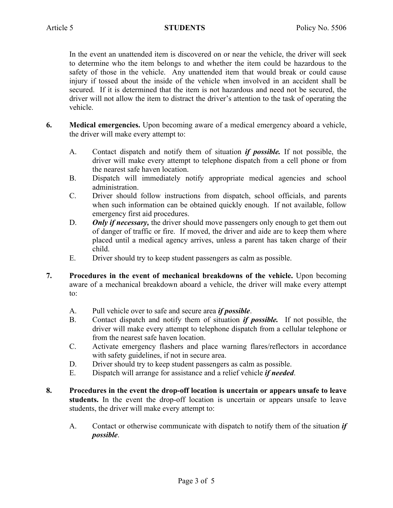In the event an unattended item is discovered on or near the vehicle, the driver will seek to determine who the item belongs to and whether the item could be hazardous to the safety of those in the vehicle. Any unattended item that would break or could cause injury if tossed about the inside of the vehicle when involved in an accident shall be secured. If it is determined that the item is not hazardous and need not be secured, the driver will not allow the item to distract the driver's attention to the task of operating the vehicle.

- **6. Medical emergencies.** Upon becoming aware of a medical emergency aboard a vehicle, the driver will make every attempt to:
	- A. Contact dispatch and notify them of situation *if possible.* If not possible, the driver will make every attempt to telephone dispatch from a cell phone or from the nearest safe haven location.
	- B. Dispatch will immediately notify appropriate medical agencies and school administration.
	- C. Driver should follow instructions from dispatch, school officials, and parents when such information can be obtained quickly enough. If not available, follow emergency first aid procedures.
	- D. **Only if necessary,** the driver should move passengers only enough to get them out of danger of traffic or fire. If moved, the driver and aide are to keep them where placed until a medical agency arrives, unless a parent has taken charge of their child.
	- E. Driver should try to keep student passengers as calm as possible.
- **7. Procedures in the event of mechanical breakdowns of the vehicle.** Upon becoming aware of a mechanical breakdown aboard a vehicle, the driver will make every attempt to:
	- A. Pull vehicle over to safe and secure area *if possible*.
	- B. Contact dispatch and notify them of situation *if possible.* If not possible, the driver will make every attempt to telephone dispatch from a cellular telephone or from the nearest safe haven location.
	- C. Activate emergency flashers and place warning flares/reflectors in accordance with safety guidelines, if not in secure area.
	- D. Driver should try to keep student passengers as calm as possible.
	- E. Dispatch will arrange for assistance and a relief vehicle *if needed*.
- **8. Procedures in the event the drop-off location is uncertain or appears unsafe to leave students.** In the event the drop-off location is uncertain or appears unsafe to leave students, the driver will make every attempt to:
	- A. Contact or otherwise communicate with dispatch to notify them of the situation *if possible*.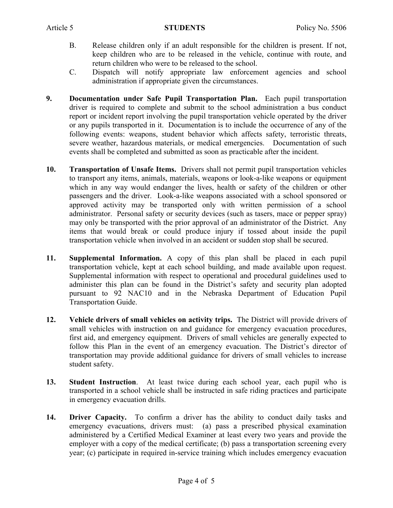- B. Release children only if an adult responsible for the children is present. If not, keep children who are to be released in the vehicle, continue with route, and return children who were to be released to the school.
- C. Dispatch will notify appropriate law enforcement agencies and school administration if appropriate given the circumstances.
- **9. Documentation under Safe Pupil Transportation Plan.** Each pupil transportation driver is required to complete and submit to the school administration a bus conduct report or incident report involving the pupil transportation vehicle operated by the driver or any pupils transported in it. Documentation is to include the occurrence of any of the following events: weapons, student behavior which affects safety, terroristic threats, severe weather, hazardous materials, or medical emergencies. Documentation of such events shall be completed and submitted as soon as practicable after the incident.
- **10. Transportation of Unsafe Items.** Drivers shall not permit pupil transportation vehicles to transport any items, animals, materials, weapons or look-a-like weapons or equipment which in any way would endanger the lives, health or safety of the children or other passengers and the driver. Look-a-like weapons associated with a school sponsored or approved activity may be transported only with written permission of a school administrator. Personal safety or security devices (such as tasers, mace or pepper spray) may only be transported with the prior approval of an administrator of the District. Any items that would break or could produce injury if tossed about inside the pupil transportation vehicle when involved in an accident or sudden stop shall be secured.
- **11. Supplemental Information.** A copy of this plan shall be placed in each pupil transportation vehicle, kept at each school building, and made available upon request. Supplemental information with respect to operational and procedural guidelines used to administer this plan can be found in the District's safety and security plan adopted pursuant to 92 NAC10 and in the Nebraska Department of Education Pupil Transportation Guide.
- **12. Vehicle drivers of small vehicles on activity trips.** The District will provide drivers of small vehicles with instruction on and guidance for emergency evacuation procedures, first aid, and emergency equipment. Drivers of small vehicles are generally expected to follow this Plan in the event of an emergency evacuation. The District's director of transportation may provide additional guidance for drivers of small vehicles to increase student safety.
- **13. Student Instruction**. At least twice during each school year, each pupil who is transported in a school vehicle shall be instructed in safe riding practices and participate in emergency evacuation drills.
- **14. Driver Capacity.** To confirm a driver has the ability to conduct daily tasks and emergency evacuations, drivers must: (a) pass a prescribed physical examination administered by a Certified Medical Examiner at least every two years and provide the employer with a copy of the medical certificate; (b) pass a transportation screening every year; (c) participate in required in-service training which includes emergency evacuation